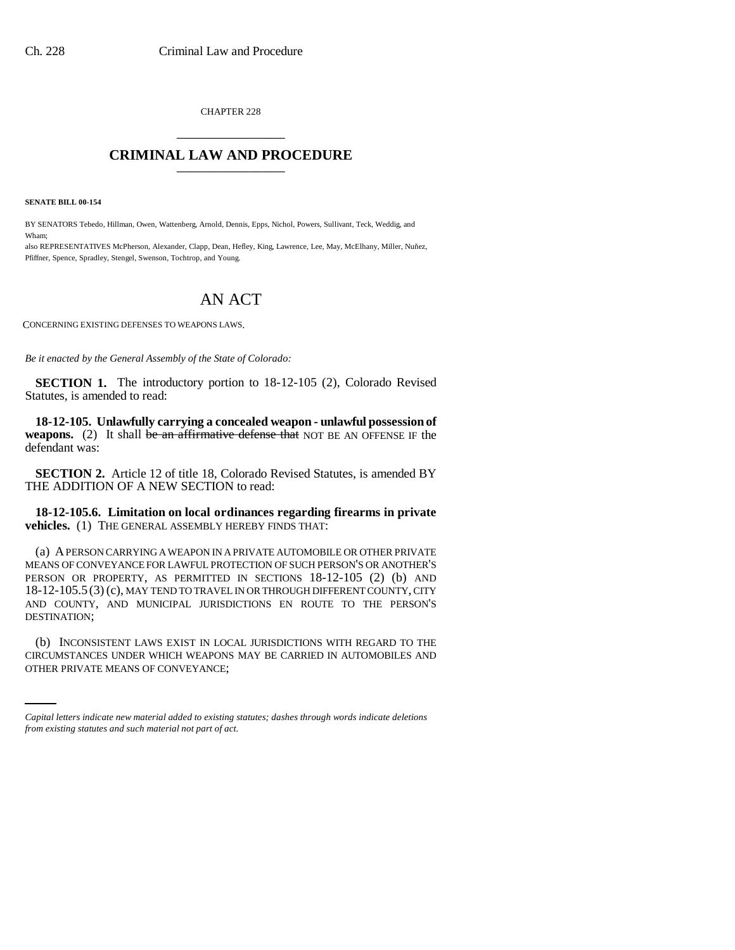CHAPTER 228 \_\_\_\_\_\_\_\_\_\_\_\_\_\_\_

## **CRIMINAL LAW AND PROCEDURE** \_\_\_\_\_\_\_\_\_\_\_\_\_\_\_

**SENATE BILL 00-154** 

BY SENATORS Tebedo, Hillman, Owen, Wattenberg, Arnold, Dennis, Epps, Nichol, Powers, Sullivant, Teck, Weddig, and Wham;

also REPRESENTATIVES McPherson, Alexander, Clapp, Dean, Hefley, King, Lawrence, Lee, May, McElhany, Miller, Nuñez, Pfiffner, Spence, Spradley, Stengel, Swenson, Tochtrop, and Young.

## AN ACT

CONCERNING EXISTING DEFENSES TO WEAPONS LAWS.

*Be it enacted by the General Assembly of the State of Colorado:*

**SECTION 1.** The introductory portion to 18-12-105 (2), Colorado Revised Statutes, is amended to read:

**18-12-105. Unlawfully carrying a concealed weapon - unlawful possession of weapons.** (2) It shall be an affirmative defense that NOT BE AN OFFENSE IF the defendant was:

**SECTION 2.** Article 12 of title 18, Colorado Revised Statutes, is amended BY THE ADDITION OF A NEW SECTION to read:

**18-12-105.6. Limitation on local ordinances regarding firearms in private vehicles.** (1) THE GENERAL ASSEMBLY HEREBY FINDS THAT:

(a) A PERSON CARRYING A WEAPON IN A PRIVATE AUTOMOBILE OR OTHER PRIVATE MEANS OF CONVEYANCE FOR LAWFUL PROTECTION OF SUCH PERSON'S OR ANOTHER'S PERSON OR PROPERTY, AS PERMITTED IN SECTIONS 18-12-105 (2) (b) AND 18-12-105.5 (3) (c), MAY TEND TO TRAVEL IN OR THROUGH DIFFERENT COUNTY, CITY AND COUNTY, AND MUNICIPAL JURISDICTIONS EN ROUTE TO THE PERSON'S DESTINATION;

(b) INCONSISTENT LAWS EXIST IN LOCAL JURISDICTIONS WITH REGARD TO THE CIRCUMSTANCES UNDER WHICH WEAPONS MAY BE CARRIED IN AUTOMOBILES AND OTHER PRIVATE MEANS OF CONVEYANCE;

*Capital letters indicate new material added to existing statutes; dashes through words indicate deletions from existing statutes and such material not part of act.*